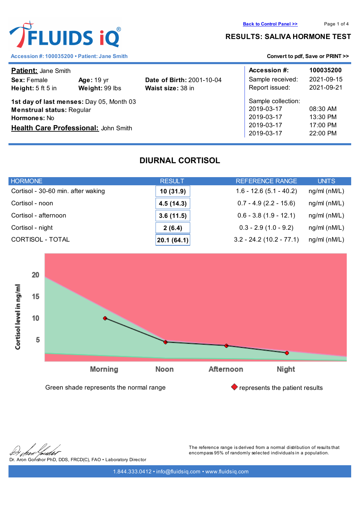

#### **RESULTS: SALIVA HORMONE TEST**

| <b>Patient: Jane Smith</b>                                                                                                                  |                                     |                                                       | Accession #:                                                               | 100035200                                      |
|---------------------------------------------------------------------------------------------------------------------------------------------|-------------------------------------|-------------------------------------------------------|----------------------------------------------------------------------------|------------------------------------------------|
| Sex: Female<br>Height: $5$ ft $5$ in                                                                                                        | <b>Age: 19 yr</b><br>Weight: 99 lbs | <b>Date of Birth: 2001-10-04</b><br>Waist size: 38 in | Sample received:<br>Report issued:                                         | 2021-09-15<br>2021-09-21                       |
| 1st day of last menses: Day 05, Month 03<br><b>Menstrual status: Regular</b><br><b>Hormones: No</b><br>Health Care Professional: John Smith |                                     |                                                       | Sample collection:<br>2019-03-17<br>2019-03-17<br>2019-03-17<br>2019-03-17 | 08:30 AM<br>$13:30$ PM<br>17:00 PM<br>22:00 PM |

# **DIURNAL CORTISOL**

| <b>HORMONE</b>                     | <b>RESULT</b> | REFERENCE RANGE            | <b>UNITS</b>       |
|------------------------------------|---------------|----------------------------|--------------------|
| Cortisol - 30-60 min. after waking | 10(31.9)      | $1.6 - 12.6(5.1 - 40.2)$   | $ng/ml$ ( $nM/L$ ) |
| Cortisol - noon                    | 4.5(14.3)     | $0.7 - 4.9(2.2 - 15.6)$    | $ng/ml$ ( $nM/L$ ) |
| Cortisol - afternoon               | 3.6(11.5)     | $0.6 - 3.8(1.9 - 12.1)$    | $ng/ml$ (nM/L)     |
| Cortisol - night                   | 2(6.4)        | $0.3 - 2.9(1.0 - 9.2)$     | $ng/ml$ ( $nM/L$ ) |
| CORTISOL - TOTAL                   | 20.1 (64.1)   | $3.2 - 24.2$ (10.2 - 77.1) | $ng/ml$ (nM/L)     |



Dr. Aron Gonshor PhD, DDS, FRCD(C), FAO • Laboratory Director

The reference range is derived from a normal distribution of results that encompass 95% of randomly selected individuals in a population.

1.844.333.0412 • info@fluidsiq.com • www.fluidsiq.com

FLUIDS iQ®

Accession #: 100035200 • Patient: Jane Smith **[Convert to pdf, Save or PRINT >>](convert_pdf.php?var=stage.fluidsiq.com/reports/graph_rep/report_diurnal.php?codelnk=bd6ced5b172132ea2733a7b11ed6f3a08e88de9a62c1f5cffcadc389ae306215&codelnk=bd6ced5b172132ea2733a7b11ed6f3a08e88de9a62c1f5cffcadc389ae306215&client=100035200)**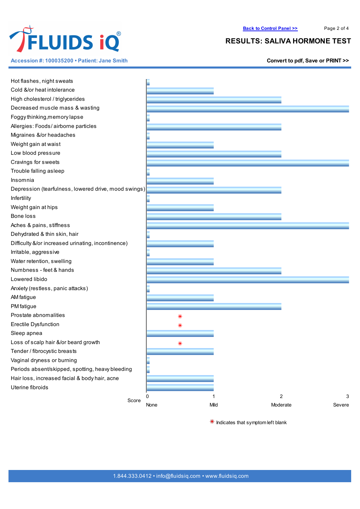

**Accession #: 100035200 • Patient: Jane Smith [Convert](convert_pdf.php?var=stage.fluidsiq.com/reports/graph_rep/report_diurnal.php?codelnk=bd6ced5b172132ea2733a7b11ed6f3a08e88de9a62c1f5cffcadc389ae306215&codelnk=bd6ced5b172132ea2733a7b11ed6f3a08e88de9a62c1f5cffcadc389ae306215&client=100035200) to pdf, Save or PRINT >>**

## **RESULTS: SALIVA HORMONE TEST**

| Hot flashes, night sweats                            |      |      |                    |
|------------------------------------------------------|------|------|--------------------|
| Cold &/or heat intolerance                           |      |      |                    |
| High cholesterol / triglycerides                     |      |      |                    |
| Decreased muscle mass & wasting                      |      |      |                    |
| Foggy thinking, memory lapse                         |      |      |                    |
| Allergies: Foods/airborne particles                  |      |      |                    |
| Migraines &/or headaches                             |      |      |                    |
| Weight gain at waist                                 |      |      |                    |
| Low blood pressure                                   |      |      |                    |
| Cravings for sweets                                  |      |      |                    |
| Trouble falling asleep                               |      |      |                    |
| Insomnia                                             |      |      |                    |
| Depression (tearfulness, lowered drive, mood swings) |      |      |                    |
| Infertility                                          |      |      |                    |
| Weight gain at hips                                  |      |      |                    |
| Bone loss                                            |      |      |                    |
| Aches & pains, stiffness                             |      |      |                    |
| Dehydrated & thin skin, hair                         |      |      |                    |
| Difficulty &/or increased urinating, incontinence)   |      |      |                    |
| Irritable, aggressive                                |      |      |                    |
| Water retention, swelling                            |      |      |                    |
| Numbness - feet & hands                              |      |      |                    |
| Lowered libido                                       |      |      |                    |
| Anxiety (restless, panic attacks)                    |      |      |                    |
| AM fatigue                                           |      |      |                    |
| PM fatigue                                           |      |      |                    |
| Prostate abnomalities                                |      |      |                    |
| Erectile Dysfunction                                 | ⋇    |      |                    |
| Sleep apnea                                          | ⋇    |      |                    |
| Loss of scalp hair &/or beard growth                 |      |      |                    |
| Tender / fibrocystic breasts                         |      |      |                    |
| Vaginal dryness or burning                           |      |      |                    |
| Periods absent/skipped, spotting, heavy bleeding     |      |      |                    |
| Hair loss, increased facial & body hair, acne        |      |      |                    |
| Uterine fibroids                                     |      |      |                    |
|                                                      | 0    |      | $\sqrt{2}$<br>3    |
| Score                                                | None | Mild | Moderate<br>Severe |

 $*$  Indicates that symptom left blank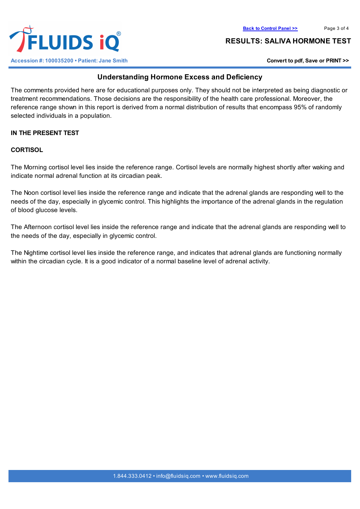



#### **RESULTS: SALIVA HORMONE TEST**

## **Understanding Hormone Excess and Deficiency**

The comments provided here are for educational purposes only. They should not be interpreted as being diagnostic or treatment recommendations. Those decisions are the responsibility of the health care professional. Moreover, the reference range shown in this report is derived from a normal distribution of results that encompass 95% of randomly selected individuals in a population.

## **IN THE PRESENT TEST**

### **CORTISOL**

The Morning cortisol level lies inside the reference range. Cortisol levels are normally highest shortly after waking and indicate normal adrenal function at its circadian peak.

The Noon cortisol level lies inside the reference range and indicate that the adrenal glands are responding well to the needs of the day, especially in glycemic control. This highlights the importance of the adrenal glands in the regulation of blood glucose levels.

The Afternoon cortisol level lies inside the reference range and indicate that the adrenal glands are responding well to the needs of the day, especially in glycemic control.

The Nightime cortisol level lies inside the reference range, and indicates that adrenal glands are functioning normally within the circadian cycle. It is a good indicator of a normal baseline level of adrenal activity.